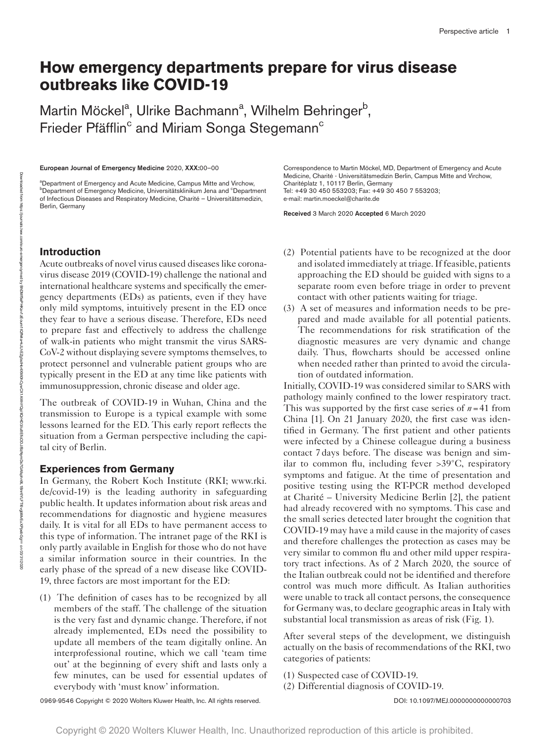# **How emergency departments prepare for virus disease outbreaks like COVID-19**

Martin Möckel<sup>a</sup>, Ulrike Bachmann<sup>a</sup>, Wilhelm Behringer<sup>b</sup>, Frieder Pfäfflin<sup>c</sup> and Miriam Songa Stegemann<sup>c</sup>

European Journal of Emergency Medicine 2020, XXX:00–00

<sup>a</sup>Department of Emergency and Acute Medicine, Campus Mitte and Virchow, <sup>b</sup>Department of Emergency Medicine, Universitätsklinikum Jena and <sup>c</sup>Department of Infectious Diseases and Respiratory Medicine, Charité – Universitätsmedizin, Berlin, Germany

Correspondence to Martin Möckel, MD, Department of Emergency and Acute Medicine, Charité - Universitätsmedizin Berlin, Campus Mitte and Virchow, Charitéplatz 1, 10117 Berlin, Germany Tel: +49 30 450 553203; Fax: +49 30 450 7 553203; e-mail: [martin.moeckel@charite.de](mailto:martin.moeckel@charite.de)

Received 3 March 2020 Accepted 6 March 2020

# **Introduction**

Acute outbreaks of novel virus caused diseases like coronavirus disease 2019 (COVID-19) challenge the national and international healthcare systems and specifically the emergency departments (EDs) as patients, even if they have only mild symptoms, intuitively present in the ED once they fear to have a serious disease. Therefore, EDs need to prepare fast and effectively to address the challenge of walk-in patients who might transmit the virus SARS-CoV-2 without displaying severe symptoms themselves, to protect personnel and vulnerable patient groups who are typically present in the ED at any time like patients with immunosuppression, chronic disease and older age.

The outbreak of COVID-19 in Wuhan, China and the transmission to Europe is a typical example with some lessons learned for the ED. This early report reflects the situation from a German perspective including the capital city of Berlin.

### **Experiences from Germany**

In Germany, the Robert Koch Institute (RKI; [www.rki.](www.rki.de/covid-19) [de/covid-19](www.rki.de/covid-19)) is the leading authority in safeguarding public health. It updates information about risk areas and recommendations for diagnostic and hygiene measures daily. It is vital for all EDs to have permanent access to this type of information. The intranet page of the RKI is only partly available in English for those who do not have a similar information source in their countries. In the early phase of the spread of a new disease like COVID-19, three factors are most important for the ED:

(1) The definition of cases has to be recognized by all members of the staff. The challenge of the situation is the very fast and dynamic change. Therefore, if not already implemented, EDs need the possibility to update all members of the team digitally online. An interprofessional routine, which we call 'team time out' at the beginning of every shift and lasts only a few minutes, can be used for essential updates of everybody with 'must know' information.

(2) Potential patients have to be recognized at the door and isolated immediately at triage. If feasible, patients approaching the ED should be guided with signs to a separate room even before triage in order to prevent contact with other patients waiting for triage.

(3) A set of measures and information needs to be prepared and made available for all potential patients. The recommendations for risk stratification of the diagnostic measures are very dynamic and change daily. Thus, flowcharts should be accessed online when needed rather than printed to avoid the circulation of outdated information.

Initially, COVID-19 was considered similar to SARS with pathology mainly confined to the lower respiratory tract. This was supported by the first case series of  $n=41$  from China [1]. On 21 January 2020, the first case was identified in Germany. The first patient and other patients were infected by a Chinese colleague during a business contact 7days before. The disease was benign and similar to common flu, including fever >39°C, respiratory symptoms and fatigue. At the time of presentation and positive testing using the RT-PCR method developed at Charité – University Medicine Berlin [2], the patient had already recovered with no symptoms. This case and the small series detected later brought the cognition that COVID-19 may have a mild cause in the majority of cases and therefore challenges the protection as cases may be very similar to common flu and other mild upper respiratory tract infections. As of 2 March 2020, the source of the Italian outbreak could not be identified and therefore control was much more difficult. As Italian authorities were unable to track all contact persons, the consequence for Germany was, to declare geographic areas in Italy with substantial local transmission as areas of risk (Fig. 1).

After several steps of the development, we distinguish actually on the basis of recommendations of the RKI, two categories of patients:

- (1) Suspected case of COVID-19.
- (2) Differential diagnosis of COVID-19.

0969-9546 Copyright © 2020 Wolters Kluwer Health, Inc. All rights reserved. <br>
0969-9546 Copyright © 2020 Wolters Kluwer Health, Inc. All rights reserved.